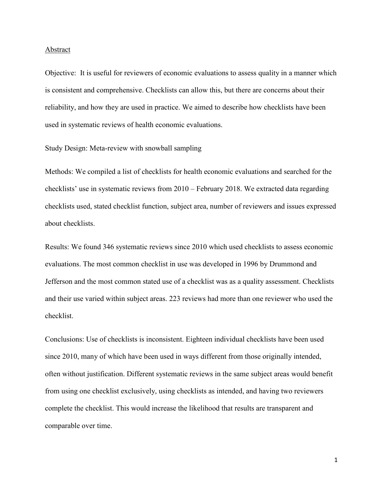#### Abstract

Objective: It is useful for reviewers of economic evaluations to assess quality in a manner which is consistent and comprehensive. Checklists can allow this, but there are concerns about their reliability, and how they are used in practice. We aimed to describe how checklists have been used in systematic reviews of health economic evaluations.

Study Design: Meta-review with snowball sampling

Methods: We compiled a list of checklists for health economic evaluations and searched for the checklists' use in systematic reviews from 2010 – February 2018. We extracted data regarding checklists used, stated checklist function, subject area, number of reviewers and issues expressed about checklists.

Results: We found 346 systematic reviews since 2010 which used checklists to assess economic evaluations. The most common checklist in use was developed in 1996 by Drummond and Jefferson and the most common stated use of a checklist was as a quality assessment. Checklists and their use varied within subject areas. 223 reviews had more than one reviewer who used the checklist.

Conclusions: Use of checklists is inconsistent. Eighteen individual checklists have been used since 2010, many of which have been used in ways different from those originally intended, often without justification. Different systematic reviews in the same subject areas would benefit from using one checklist exclusively, using checklists as intended, and having two reviewers complete the checklist. This would increase the likelihood that results are transparent and comparable over time.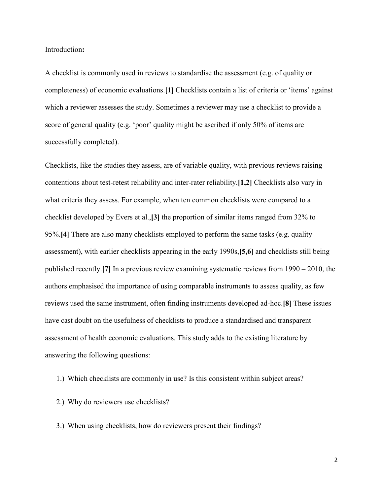#### Introduction**:**

A checklist is commonly used in reviews to standardise the assessment (e.g. of quality or completeness) of economic evaluations.**[1]** Checklists contain a list of criteria or 'items' against which a reviewer assesses the study. Sometimes a reviewer may use a checklist to provide a score of general quality (e.g. 'poor' quality might be ascribed if only 50% of items are successfully completed).

Checklists, like the studies they assess, are of variable quality, with previous reviews raising contentions about test-retest reliability and inter-rater reliability.**[1,2]** Checklists also vary in what criteria they assess. For example, when ten common checklists were compared to a checklist developed by Evers et al.,**[3]** the proportion of similar items ranged from 32% to 95%.**[4]** There are also many checklists employed to perform the same tasks (e.g. quality assessment), with earlier checklists appearing in the early 1990s,**[5,6]** and checklists still being published recently.**[7]** In a previous review examining systematic reviews from 1990 – 2010, the authors emphasised the importance of using comparable instruments to assess quality, as few reviews used the same instrument, often finding instruments developed ad-hoc.**[8]** These issues have cast doubt on the usefulness of checklists to produce a standardised and transparent assessment of health economic evaluations. This study adds to the existing literature by answering the following questions:

- 1.) Which checklists are commonly in use? Is this consistent within subject areas?
- 2.) Why do reviewers use checklists?
- 3.) When using checklists, how do reviewers present their findings?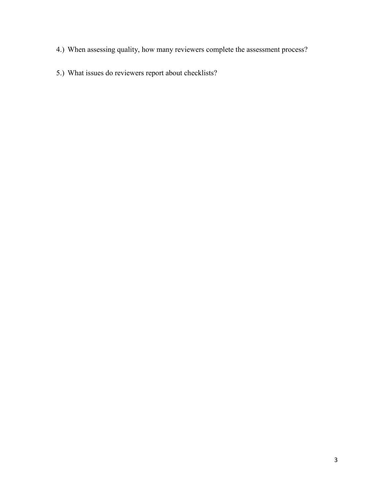- 4.) When assessing quality, how many reviewers complete the assessment process?
- 5.) What issues do reviewers report about checklists?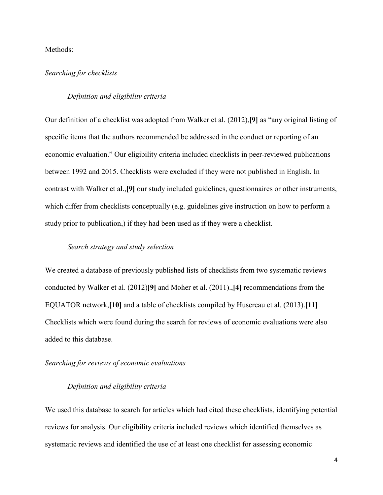# Methods:

## *Searching for checklists*

# *Definition and eligibility criteria*

Our definition of a checklist was adopted from Walker et al. (2012),**[9]** as "any original listing of specific items that the authors recommended be addressed in the conduct or reporting of an economic evaluation." Our eligibility criteria included checklists in peer-reviewed publications between 1992 and 2015. Checklists were excluded if they were not published in English. In contrast with Walker et al.,**[9]** our study included guidelines, questionnaires or other instruments, which differ from checklists conceptually (e.g. guidelines give instruction on how to perform a study prior to publication,) if they had been used as if they were a checklist.

#### *Search strategy and study selection*

We created a database of previously published lists of checklists from two systematic reviews conducted by Walker et al. (2012)**[9]** and Moher et al. (2011).,**[4]** recommendations from the EQUATOR network,**[10]** and a table of checklists compiled by Husereau et al. (2013).**[11]** Checklists which were found during the search for reviews of economic evaluations were also added to this database.

#### *Searching for reviews of economic evaluations*

# *Definition and eligibility criteria*

We used this database to search for articles which had cited these checklists, identifying potential reviews for analysis. Our eligibility criteria included reviews which identified themselves as systematic reviews and identified the use of at least one checklist for assessing economic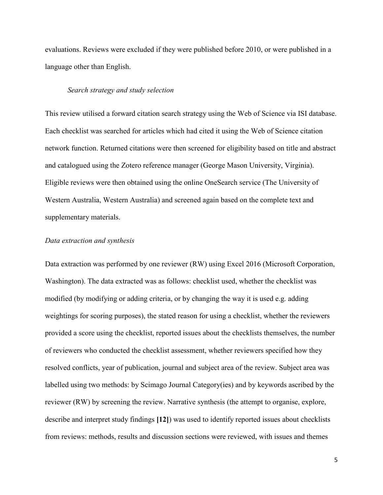evaluations. Reviews were excluded if they were published before 2010, or were published in a language other than English.

#### *Search strategy and study selection*

This review utilised a forward citation search strategy using the Web of Science via ISI database. Each checklist was searched for articles which had cited it using the Web of Science citation network function. Returned citations were then screened for eligibility based on title and abstract and catalogued using the Zotero reference manager (George Mason University, Virginia). Eligible reviews were then obtained using the online OneSearch service (The University of Western Australia, Western Australia) and screened again based on the complete text and supplementary materials.

## *Data extraction and synthesis*

Data extraction was performed by one reviewer (RW) using Excel 2016 (Microsoft Corporation, Washington). The data extracted was as follows: checklist used, whether the checklist was modified (by modifying or adding criteria, or by changing the way it is used e.g. adding weightings for scoring purposes), the stated reason for using a checklist, whether the reviewers provided a score using the checklist, reported issues about the checklists themselves, the number of reviewers who conducted the checklist assessment, whether reviewers specified how they resolved conflicts, year of publication, journal and subject area of the review. Subject area was labelled using two methods: by Scimago Journal Category(ies) and by keywords ascribed by the reviewer (RW) by screening the review. Narrative synthesis (the attempt to organise, explore, describe and interpret study findings **[12]**) was used to identify reported issues about checklists from reviews: methods, results and discussion sections were reviewed, with issues and themes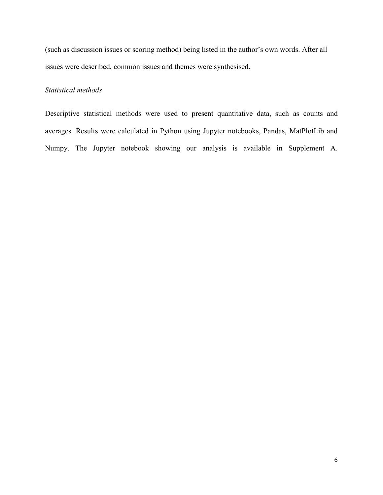(such as discussion issues or scoring method) being listed in the author's own words. After all issues were described, common issues and themes were synthesised.

# *Statistical methods*

Descriptive statistical methods were used to present quantitative data, such as counts and averages. Results were calculated in Python using Jupyter notebooks, Pandas, MatPlotLib and Numpy. The Jupyter notebook showing our analysis is available in Supplement A.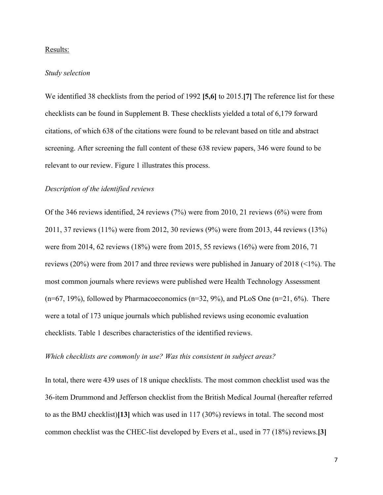# Results:

# *Study selection*

We identified 38 checklists from the period of 1992 **[5,6]** to 2015.**[7]** The reference list for these checklists can be found in Supplement B. These checklists yielded a total of 6,179 forward citations, of which 638 of the citations were found to be relevant based on title and abstract screening. After screening the full content of these 638 review papers, 346 were found to be relevant to our review. Figure 1 illustrates this process.

# *Description of the identified reviews*

Of the 346 reviews identified, 24 reviews (7%) were from 2010, 21 reviews (6%) were from 2011, 37 reviews (11%) were from 2012, 30 reviews (9%) were from 2013, 44 reviews (13%) were from 2014, 62 reviews (18%) were from 2015, 55 reviews (16%) were from 2016, 71 reviews (20%) were from 2017 and three reviews were published in January of 2018 (<1%). The most common journals where reviews were published were Health Technology Assessment  $(n=67, 19%)$ , followed by Pharmacoeconomics  $(n=32, 9%)$ , and PLoS One  $(n=21, 6%)$ . There were a total of 173 unique journals which published reviews using economic evaluation checklists. Table 1 describes characteristics of the identified reviews.

#### *Which checklists are commonly in use? Was this consistent in subject areas?*

In total, there were 439 uses of 18 unique checklists. The most common checklist used was the 36-item Drummond and Jefferson checklist from the British Medical Journal (hereafter referred to as the BMJ checklist)**[13]** which was used in 117 (30%) reviews in total. The second most common checklist was the CHEC-list developed by Evers et al., used in 77 (18%) reviews.**[3]**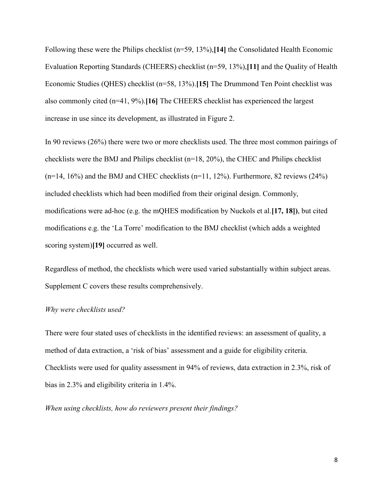Following these were the Philips checklist (n=59, 13%),**[14]** the Consolidated Health Economic Evaluation Reporting Standards (CHEERS) checklist (n=59, 13%),**[11]** and the Quality of Health Economic Studies (QHES) checklist (n=58, 13%).**[15]** The Drummond Ten Point checklist was also commonly cited (n=41, 9%).**[16]** The CHEERS checklist has experienced the largest increase in use since its development, as illustrated in Figure 2.

In 90 reviews (26%) there were two or more checklists used. The three most common pairings of checklists were the BMJ and Philips checklist (n=18, 20%), the CHEC and Philips checklist  $(n=14, 16\%)$  and the BMJ and CHEC checklists  $(n=11, 12\%)$ . Furthermore, 82 reviews  $(24\%)$ included checklists which had been modified from their original design. Commonly, modifications were ad-hoc (e.g. the mQHES modification by Nuckols et al.**[17, 18])**, but cited modifications e.g. the 'La Torre' modification to the BMJ checklist (which adds a weighted scoring system)**[19]** occurred as well.

Regardless of method, the checklists which were used varied substantially within subject areas. Supplement C covers these results comprehensively.

# *Why were checklists used?*

There were four stated uses of checklists in the identified reviews: an assessment of quality, a method of data extraction, a 'risk of bias' assessment and a guide for eligibility criteria. Checklists were used for quality assessment in 94% of reviews, data extraction in 2.3%, risk of bias in 2.3% and eligibility criteria in 1.4%.

## *When using checklists, how do reviewers present their findings?*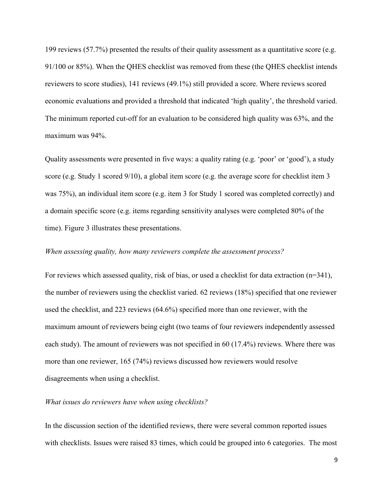199 reviews (57.7%) presented the results of their quality assessment as a quantitative score (e.g. 91/100 or 85%). When the QHES checklist was removed from these (the QHES checklist intends reviewers to score studies), 141 reviews (49.1%) still provided a score. Where reviews scored economic evaluations and provided a threshold that indicated 'high quality', the threshold varied. The minimum reported cut-off for an evaluation to be considered high quality was 63%, and the maximum was 94%.

Quality assessments were presented in five ways: a quality rating (e.g. 'poor' or 'good'), a study score (e.g. Study 1 scored 9/10), a global item score (e.g. the average score for checklist item 3 was 75%), an individual item score (e.g. item 3 for Study 1 scored was completed correctly) and a domain specific score (e.g. items regarding sensitivity analyses were completed 80% of the time). Figure 3 illustrates these presentations.

### *When assessing quality, how many reviewers complete the assessment process?*

For reviews which assessed quality, risk of bias, or used a checklist for data extraction (n=341), the number of reviewers using the checklist varied. 62 reviews (18%) specified that one reviewer used the checklist, and 223 reviews (64.6%) specified more than one reviewer, with the maximum amount of reviewers being eight (two teams of four reviewers independently assessed each study). The amount of reviewers was not specified in  $60$  (17.4%) reviews. Where there was more than one reviewer, 165 (74%) reviews discussed how reviewers would resolve disagreements when using a checklist.

# *What issues do reviewers have when using checklists?*

In the discussion section of the identified reviews, there were several common reported issues with checklists. Issues were raised 83 times, which could be grouped into 6 categories. The most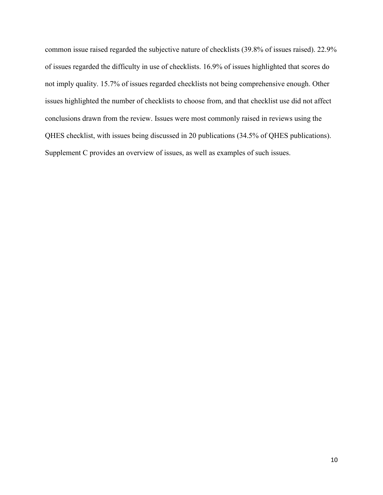common issue raised regarded the subjective nature of checklists (39.8% of issues raised). 22.9% of issues regarded the difficulty in use of checklists. 16.9% of issues highlighted that scores do not imply quality. 15.7% of issues regarded checklists not being comprehensive enough. Other issues highlighted the number of checklists to choose from, and that checklist use did not affect conclusions drawn from the review. Issues were most commonly raised in reviews using the QHES checklist, with issues being discussed in 20 publications (34.5% of QHES publications). Supplement C provides an overview of issues, as well as examples of such issues.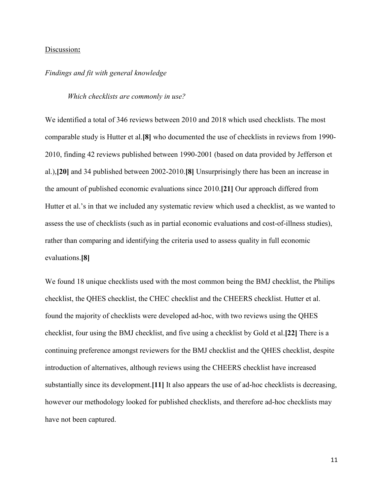## Discussion**:**

# *Findings and fit with general knowledge*

# *Which checklists are commonly in use?*

We identified a total of 346 reviews between 2010 and 2018 which used checklists. The most comparable study is Hutter et al.**[8]** who documented the use of checklists in reviews from 1990- 2010, finding 42 reviews published between 1990-2001 (based on data provided by Jefferson et al.),**[20]** and 34 published between 2002-2010.**[8]** Unsurprisingly there has been an increase in the amount of published economic evaluations since 2010.**[21]** Our approach differed from Hutter et al.'s in that we included any systematic review which used a checklist, as we wanted to assess the use of checklists (such as in partial economic evaluations and cost-of-illness studies), rather than comparing and identifying the criteria used to assess quality in full economic evaluations.**[8]**

We found 18 unique checklists used with the most common being the BMJ checklist, the Philips checklist, the QHES checklist, the CHEC checklist and the CHEERS checklist. Hutter et al. found the majority of checklists were developed ad-hoc, with two reviews using the QHES checklist, four using the BMJ checklist, and five using a checklist by Gold et al.**[22]** There is a continuing preference amongst reviewers for the BMJ checklist and the QHES checklist, despite introduction of alternatives, although reviews using the CHEERS checklist have increased substantially since its development.**[11]** It also appears the use of ad-hoc checklists is decreasing, however our methodology looked for published checklists, and therefore ad-hoc checklists may have not been captured.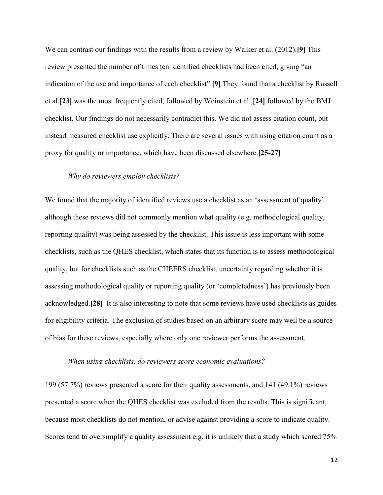We can contrast our findings with the results from a review by Walker et al. (2012).**[9]** This review presented the number of times ten identified checklists had been cited, giving "an indication of the use and importance of each checklist".**[9]** They found that a checklist by Russell et al.**[23]** was the most frequently cited, followed by Weinstein et al.,**[24]** followed by the BMJ checklist. Our findings do not necessarily contradict this. We did not assess citation count, but instead measured checklist use explicitly. There are several issues with using citation count as a proxy for quality or importance, which have been discussed elsewhere.**[25-27]**

# *Why do reviewers employ checklists?*

We found that the majority of identified reviews use a checklist as an 'assessment of quality' although these reviews did not commonly mention what quality (e.g. methodological quality, reporting quality) was being assessed by the checklist. This issue is less important with some checklists, such as the QHES checklist, which states that its function is to assess methodological quality, but for checklists such as the CHEERS checklist, uncertainty regarding whether it is assessing methodological quality or reporting quality (or 'completedness') has previously been acknowledged.**[28]** It is also interesting to note that some reviews have used checklists as guides for eligibility criteria. The exclusion of studies based on an arbitrary score may well be a source of bias for these reviews, especially where only one reviewer performs the assessment.

#### *When using checklists, do reviewers score economic evaluations?*

199 (57.7%) reviews presented a score for their quality assessments, and 141 (49.1%) reviews presented a score when the QHES checklist was excluded from the results. This is significant, because most checklists do not mention, or advise against providing a score to indicate quality. Scores tend to oversimplify a quality assessment e.g. it is unlikely that a study which scored 75%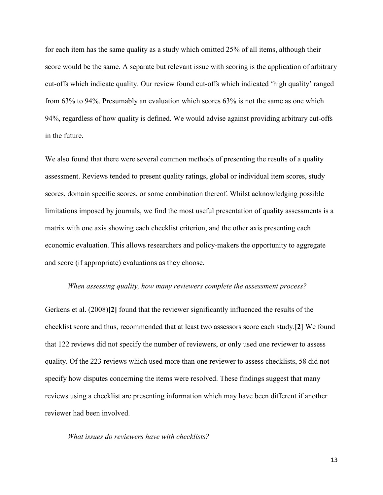for each item has the same quality as a study which omitted 25% of all items, although their score would be the same. A separate but relevant issue with scoring is the application of arbitrary cut-offs which indicate quality. Our review found cut-offs which indicated 'high quality' ranged from 63% to 94%. Presumably an evaluation which scores 63% is not the same as one which 94%, regardless of how quality is defined. We would advise against providing arbitrary cut-offs in the future.

We also found that there were several common methods of presenting the results of a quality assessment. Reviews tended to present quality ratings, global or individual item scores, study scores, domain specific scores, or some combination thereof. Whilst acknowledging possible limitations imposed by journals, we find the most useful presentation of quality assessments is a matrix with one axis showing each checklist criterion, and the other axis presenting each economic evaluation. This allows researchers and policy-makers the opportunity to aggregate and score (if appropriate) evaluations as they choose.

#### *When assessing quality, how many reviewers complete the assessment process?*

Gerkens et al. (2008)**[2]** found that the reviewer significantly influenced the results of the checklist score and thus, recommended that at least two assessors score each study.**[2]** We found that 122 reviews did not specify the number of reviewers, or only used one reviewer to assess quality. Of the 223 reviews which used more than one reviewer to assess checklists, 58 did not specify how disputes concerning the items were resolved. These findings suggest that many reviews using a checklist are presenting information which may have been different if another reviewer had been involved.

*What issues do reviewers have with checklists?*

13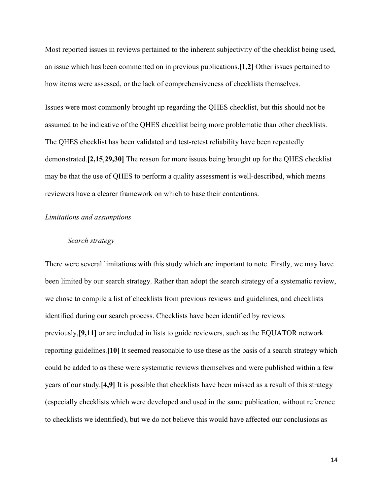Most reported issues in reviews pertained to the inherent subjectivity of the checklist being used, an issue which has been commented on in previous publications.**[1,2]** Other issues pertained to how items were assessed, or the lack of comprehensiveness of checklists themselves.

Issues were most commonly brought up regarding the QHES checklist, but this should not be assumed to be indicative of the QHES checklist being more problematic than other checklists. The QHES checklist has been validated and test-retest reliability have been repeatedly demonstrated.**[2,15**,**29,30]** The reason for more issues being brought up for the QHES checklist may be that the use of QHES to perform a quality assessment is well-described, which means reviewers have a clearer framework on which to base their contentions.

#### *Limitations and assumptions*

# *Search strategy*

There were several limitations with this study which are important to note. Firstly, we may have been limited by our search strategy. Rather than adopt the search strategy of a systematic review, we chose to compile a list of checklists from previous reviews and guidelines, and checklists identified during our search process. Checklists have been identified by reviews previously,**[9,11]** or are included in lists to guide reviewers, such as the EQUATOR network reporting guidelines.**[10]** It seemed reasonable to use these as the basis of a search strategy which could be added to as these were systematic reviews themselves and were published within a few years of our study.**[4,9]** It is possible that checklists have been missed as a result of this strategy (especially checklists which were developed and used in the same publication, without reference to checklists we identified), but we do not believe this would have affected our conclusions as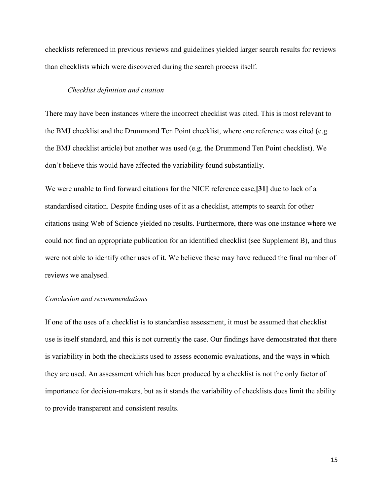checklists referenced in previous reviews and guidelines yielded larger search results for reviews than checklists which were discovered during the search process itself.

#### *Checklist definition and citation*

There may have been instances where the incorrect checklist was cited. This is most relevant to the BMJ checklist and the Drummond Ten Point checklist, where one reference was cited (e.g. the BMJ checklist article) but another was used (e.g. the Drummond Ten Point checklist). We don't believe this would have affected the variability found substantially.

We were unable to find forward citations for the NICE reference case,**[31]** due to lack of a standardised citation. Despite finding uses of it as a checklist, attempts to search for other citations using Web of Science yielded no results. Furthermore, there was one instance where we could not find an appropriate publication for an identified checklist (see Supplement B), and thus were not able to identify other uses of it. We believe these may have reduced the final number of reviews we analysed.

#### *Conclusion and recommendations*

If one of the uses of a checklist is to standardise assessment, it must be assumed that checklist use is itself standard, and this is not currently the case. Our findings have demonstrated that there is variability in both the checklists used to assess economic evaluations, and the ways in which they are used. An assessment which has been produced by a checklist is not the only factor of importance for decision-makers, but as it stands the variability of checklists does limit the ability to provide transparent and consistent results.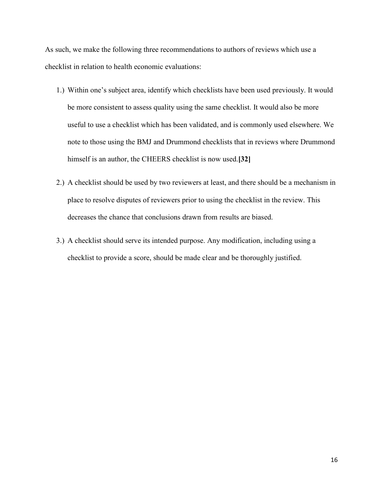As such, we make the following three recommendations to authors of reviews which use a checklist in relation to health economic evaluations:

- 1.) Within one's subject area, identify which checklists have been used previously. It would be more consistent to assess quality using the same checklist. It would also be more useful to use a checklist which has been validated, and is commonly used elsewhere. We note to those using the BMJ and Drummond checklists that in reviews where Drummond himself is an author, the CHEERS checklist is now used.**[32]**
- 2.) A checklist should be used by two reviewers at least, and there should be a mechanism in place to resolve disputes of reviewers prior to using the checklist in the review. This decreases the chance that conclusions drawn from results are biased.
- 3.) A checklist should serve its intended purpose. Any modification, including using a checklist to provide a score, should be made clear and be thoroughly justified.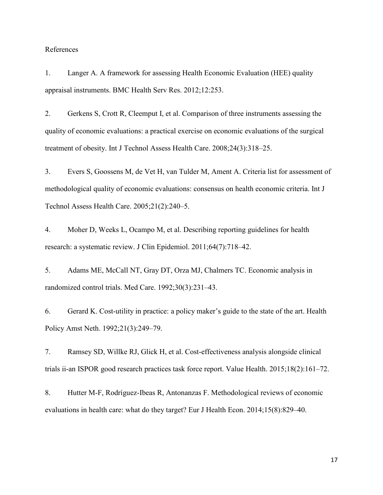## References

1. Langer A. A framework for assessing Health Economic Evaluation (HEE) quality appraisal instruments. BMC Health Serv Res. 2012;12:253.

2. Gerkens S, Crott R, Cleemput I, et al. Comparison of three instruments assessing the quality of economic evaluations: a practical exercise on economic evaluations of the surgical treatment of obesity. Int J Technol Assess Health Care. 2008;24(3):318–25.

3. Evers S, Goossens M, de Vet H, van Tulder M, Ament A. Criteria list for assessment of methodological quality of economic evaluations: consensus on health economic criteria. Int J Technol Assess Health Care. 2005;21(2):240–5.

4. Moher D, Weeks L, Ocampo M, et al. Describing reporting guidelines for health research: a systematic review. J Clin Epidemiol. 2011;64(7):718–42.

5. Adams ME, McCall NT, Gray DT, Orza MJ, Chalmers TC. Economic analysis in randomized control trials. Med Care. 1992;30(3):231–43.

6. Gerard K. Cost-utility in practice: a policy maker's guide to the state of the art. Health Policy Amst Neth. 1992;21(3):249–79.

7. Ramsey SD, Willke RJ, Glick H, et al. Cost-effectiveness analysis alongside clinical trials ii-an ISPOR good research practices task force report. Value Health. 2015;18(2):161–72.

8. Hutter M-F, Rodríguez-Ibeas R, Antonanzas F. Methodological reviews of economic evaluations in health care: what do they target? Eur J Health Econ. 2014;15(8):829–40.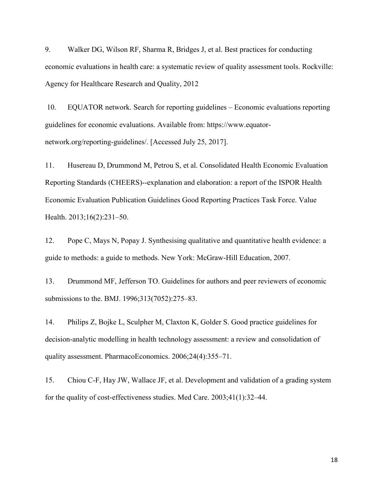9. Walker DG, Wilson RF, Sharma R, Bridges J, et al. Best practices for conducting economic evaluations in health care: a systematic review of quality assessment tools. Rockville: Agency for Healthcare Research and Quality, 2012

10. EQUATOR network. Search for reporting guidelines – Economic evaluations reporting guidelines for economic evaluations. Available from: https://www.equatornetwork.org/reporting-guidelines/. [Accessed July 25, 2017].

11. Husereau D, Drummond M, Petrou S, et al. Consolidated Health Economic Evaluation Reporting Standards (CHEERS)--explanation and elaboration: a report of the ISPOR Health Economic Evaluation Publication Guidelines Good Reporting Practices Task Force. Value Health. 2013;16(2):231–50.

12. Pope C, Mays N, Popay J. Synthesising qualitative and quantitative health evidence: a guide to methods: a guide to methods. New York: McGraw-Hill Education, 2007.

13. Drummond MF, Jefferson TO. Guidelines for authors and peer reviewers of economic submissions to the. BMJ. 1996;313(7052):275–83.

14. Philips Z, Bojke L, Sculpher M, Claxton K, Golder S. Good practice guidelines for decision-analytic modelling in health technology assessment: a review and consolidation of quality assessment. PharmacoEconomics. 2006;24(4):355–71.

15. Chiou C-F, Hay JW, Wallace JF, et al. Development and validation of a grading system for the quality of cost-effectiveness studies. Med Care. 2003;41(1):32–44.

18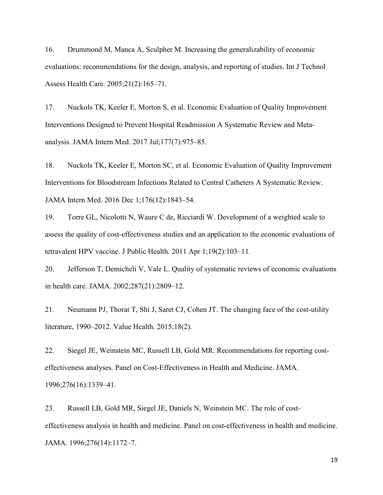16. Drummond M, Manca A, Sculpher M. Increasing the generalizability of economic evaluations: recommendations for the design, analysis, and reporting of studies. Int J Technol Assess Health Care. 2005;21(2):165–71.

17. Nuckols TK, Keeler E, Morton S, et al. Economic Evaluation of Quality Improvement Interventions Designed to Prevent Hospital Readmission A Systematic Review and Metaanalysis. JAMA Intern Med. 2017 Jul;177(7):975–85.

18. Nuckols TK, Keeler E, Morton SC, et al. Economic Evaluation of Quality Improvement Interventions for Bloodstream Infections Related to Central Catheters A Systematic Review. JAMA Intern Med. 2016 Dec 1;176(12):1843–54.

19. Torre GL, Nicolotti N, Waure C de, Ricciardi W. Development of a weighted scale to assess the quality of cost-effectiveness studies and an application to the economic evaluations of tetravalent HPV vaccine. J Public Health. 2011 Apr 1;19(2):103–11.

20. Jefferson T, Demicheli V, Vale L. Quality of systematic reviews of economic evaluations in health care. JAMA. 2002;287(21):2809–12.

21. Neumann PJ, Thorat T, Shi J, Saret CJ, Cohen JT. The changing face of the cost-utility literature, 1990–2012. Value Health. 2015;18(2).

22. Siegel JE, Weinstein MC, Russell LB, Gold MR. Recommendations for reporting costeffectiveness analyses. Panel on Cost-Effectiveness in Health and Medicine. JAMA. 1996;276(16):1339–41.

23. Russell LB, Gold MR, Siegel JE, Daniels N, Weinstein MC. The role of costeffectiveness analysis in health and medicine. Panel on cost-effectiveness in health and medicine. JAMA. 1996;276(14):1172–7.